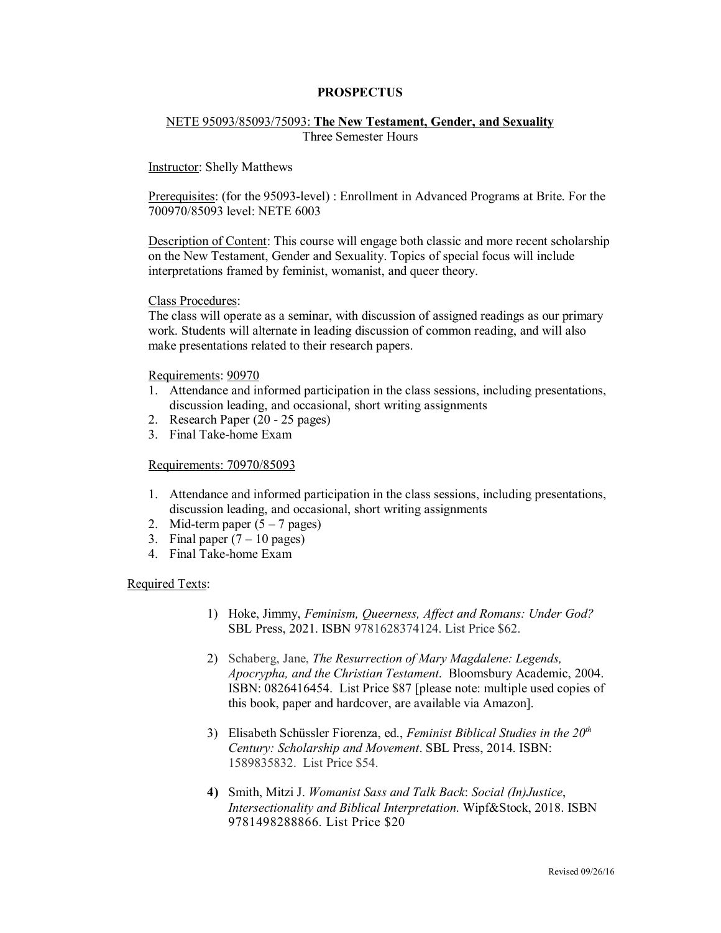## **PROSPECTUS**

# NETE 95093/85093/75093: **The New Testament, Gender, and Sexuality**

Three Semester Hours

## Instructor: Shelly Matthews

Prerequisites: (for the 95093-level) : Enrollment in Advanced Programs at Brite. For the 700970/85093 level: NETE 6003

Description of Content: This course will engage both classic and more recent scholarship on the New Testament, Gender and Sexuality. Topics of special focus will include interpretations framed by feminist, womanist, and queer theory.

#### Class Procedures:

The class will operate as a seminar, with discussion of assigned readings as our primary work. Students will alternate in leading discussion of common reading, and will also make presentations related to their research papers.

Requirements: 90970

- 1. Attendance and informed participation in the class sessions, including presentations, discussion leading, and occasional, short writing assignments
- 2. Research Paper (20 25 pages)
- 3. Final Take-home Exam

## Requirements: 70970/85093

- 1. Attendance and informed participation in the class sessions, including presentations, discussion leading, and occasional, short writing assignments
- 2. Mid-term paper  $(5 7$  pages)
- 3. Final paper  $(7 10 \text{ pages})$
- 4. Final Take-home Exam

# Required Texts:

- 1) Hoke, Jimmy, *Feminism, Queerness, Affect and Romans: Under God?* SBL Press, 2021. ISBN 9781628374124. List Price \$62.
- 2) Schaberg, Jane, *The Resurrection of Mary Magdalene: Legends, Apocrypha, and the Christian Testament*. Bloomsbury Academic, 2004. ISBN: 0826416454. List Price \$87 [please note: multiple used copies of this book, paper and hardcover, are available via Amazon].
- 3) Elisabeth Schüssler Fiorenza, ed., *Feminist Biblical Studies in the 20th Century: Scholarship and Movement*. SBL Press, 2014. ISBN: 1589835832. List Price \$54.
- **4)** Smith, Mitzi J. *Womanist Sass and Talk Back*: *Social (In)Justice*, *Intersectionality and Biblical Interpretation*. Wipf&Stock, 2018. ISBN 9781498288866. List Price \$20